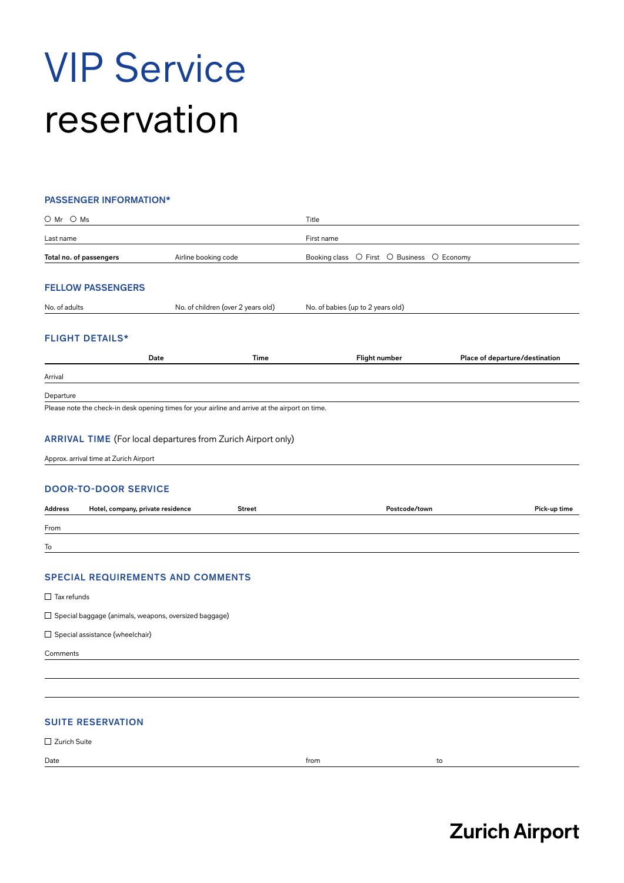# VIP Service reservation

#### **PASSENGER INFORMATION\***

| $\bigcirc$ Mr $\bigcirc$ Ms                                                                                                                                    |                                   |                                    | Title                                      |                                |
|----------------------------------------------------------------------------------------------------------------------------------------------------------------|-----------------------------------|------------------------------------|--------------------------------------------|--------------------------------|
| Last name                                                                                                                                                      |                                   |                                    | First name                                 |                                |
| Total no. of passengers                                                                                                                                        | Airline booking code              |                                    | Booking class O First O Business O Economy |                                |
|                                                                                                                                                                |                                   |                                    |                                            |                                |
| <b>FELLOW PASSENGERS</b>                                                                                                                                       |                                   |                                    |                                            |                                |
| No. of adults                                                                                                                                                  |                                   | No. of children (over 2 years old) | No. of babies (up to 2 years old)          |                                |
| <b>FLIGHT DETAILS*</b>                                                                                                                                         |                                   |                                    |                                            |                                |
|                                                                                                                                                                | Date                              | <b>Time</b>                        | Flight number                              | Place of departure/destination |
| Arrival                                                                                                                                                        |                                   |                                    |                                            |                                |
| Departure                                                                                                                                                      |                                   |                                    |                                            |                                |
| Please note the check-in desk opening times for your airline and arrive at the airport on time.                                                                |                                   |                                    |                                            |                                |
| <b>ARRIVAL TIME</b> (For local departures from Zurich Airport only)<br>Approx. arrival time at Zurich Airport<br><b>DOOR-TO-DOOR SERVICE</b><br><b>Address</b> | Hotel, company, private residence | <b>Street</b>                      | Postcode/town                              | Pick-up time                   |
| From                                                                                                                                                           |                                   |                                    |                                            |                                |
| To                                                                                                                                                             |                                   |                                    |                                            |                                |
| <b>SPECIAL REQUIREMENTS AND COMMENTS</b>                                                                                                                       |                                   |                                    |                                            |                                |
| $\Box$ Tax refunds                                                                                                                                             |                                   |                                    |                                            |                                |
| $\Box$ Special baggage (animals, weapons, oversized baggage)                                                                                                   |                                   |                                    |                                            |                                |
| $\Box$ Special assistance (wheelchair)                                                                                                                         |                                   |                                    |                                            |                                |
| Comments                                                                                                                                                       |                                   |                                    |                                            |                                |
|                                                                                                                                                                |                                   |                                    |                                            |                                |
|                                                                                                                                                                |                                   |                                    |                                            |                                |
| <b>SUITE RESERVATION</b>                                                                                                                                       |                                   |                                    |                                            |                                |
| □ Zurich Suite                                                                                                                                                 |                                   |                                    |                                            |                                |

Date the contract of the contract of the contract of the contract of the contract of the contract of the contract of the contract of the contract of the contract of the contract of the contract of the contract of the contr

## **Zurich Airport**